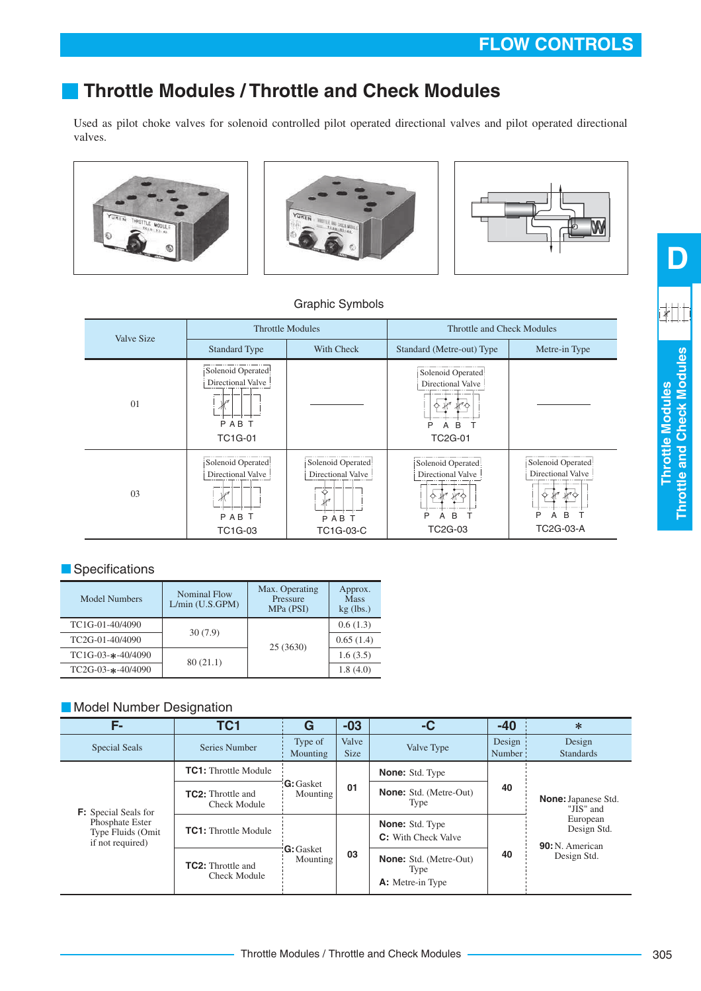# **Throttle Modules / Throttle and Check Modules**

Used as pilot choke valves for solenoid controlled pilot operated directional valves and pilot operated directional valves.







## Graphic Symbols

| Valve Size |                                                                                | <b>Throttle Modules</b>                                             | <b>Throttle and Check Modules</b>                                       |                                                                                  |  |  |
|------------|--------------------------------------------------------------------------------|---------------------------------------------------------------------|-------------------------------------------------------------------------|----------------------------------------------------------------------------------|--|--|
|            | <b>Standard Type</b>                                                           | With Check                                                          | Standard (Metre-out) Type                                               | Metre-in Type                                                                    |  |  |
| 01         | Solenoid Operated<br>Directional Valve<br>$\sqrt{2}$<br>PABT<br><b>TC1G-01</b> |                                                                     | Solenoid Operated<br>Directional Valve<br>P<br>B<br>A<br><b>TC2G-01</b> |                                                                                  |  |  |
| 03         | Solenoid Operated!<br>Directional Valve<br>$\sqrt{2}$<br>Μ<br>PABT<br>TC1G-03  | Solenoid Operated<br>Directional Valve<br>l A<br>PAB T<br>TC1G-03-C | Solenoid Operated<br>Directional Valve<br>P<br>B<br>Α<br><b>TC2G-03</b> | Solenoid Operated<br>Directional Valve<br>۱ø۸<br>B<br>P<br>Α<br><b>TC2G-03-A</b> |  |  |

### **Specifications**

| Model Numbers      | Nominal Flow<br>L/min (U.S.GPM) | Max. Operating<br>Pressure<br>MPa (PSI) | Approx.<br><b>Mass</b><br>$kg$ (lbs.) |  |
|--------------------|---------------------------------|-----------------------------------------|---------------------------------------|--|
| TC1G-01-40/4090    | 30(7.9)                         |                                         | 0.6(1.3)                              |  |
| TC2G-01-40/4090    |                                 |                                         | 0.65(1.4)                             |  |
| $TC1G-03-+40/4090$ |                                 | 25 (3630)                               | 1.6(3.5)                              |  |
| $TC2G-03-+40/4090$ | 80(21.1)                        |                                         | 1.8(4.0)                              |  |

## **Model Number Designation**

| F-                                                       | TC1                                             | G                             | $-03$                | -C                                                               | $-40$            | $\ast$                                                                                       |  |
|----------------------------------------------------------|-------------------------------------------------|-------------------------------|----------------------|------------------------------------------------------------------|------------------|----------------------------------------------------------------------------------------------|--|
| <b>Special Seals</b>                                     | Series Number                                   | Type of<br>Mounting           | Valve<br><b>Size</b> | Valve Type                                                       | Design<br>Number | Design<br><b>Standards</b>                                                                   |  |
|                                                          | <b>TC1:</b> Throttle Module                     |                               |                      | <b>None:</b> Std. Type                                           |                  |                                                                                              |  |
| <b>F:</b> Special Seals for                              | <b>TC2:</b> Throttle and<br><b>Check Module</b> | <b>G</b> : Gasket<br>Mounting | 01                   | <b>None:</b> Std. (Metre-Out)<br>Type                            | 40               | <b>None:</b> Japanese Std.<br>"JIS" and<br>European<br>Design Std.<br><b>90:</b> N. American |  |
| Phosphate Ester<br>Type Fluids (Omit<br>if not required) | <b>TC1:</b> Throttle Module                     |                               |                      | <b>None:</b> Std. Type<br><b>C:</b> With Check Valve             |                  |                                                                                              |  |
|                                                          | <b>TC2:</b> Throttle and<br><b>Check Module</b> | <b>G</b> : Gasket<br>Mounting | 03                   | <b>None:</b> Std. (Metre-Out)<br>Type<br><b>A:</b> Metre-in Type | 40               | Design Std.                                                                                  |  |

**Throttle Modules Throttle and Check Modules**

Throttle Modules<br>Throttle and Check Modules

**D**

<u>iki |</u>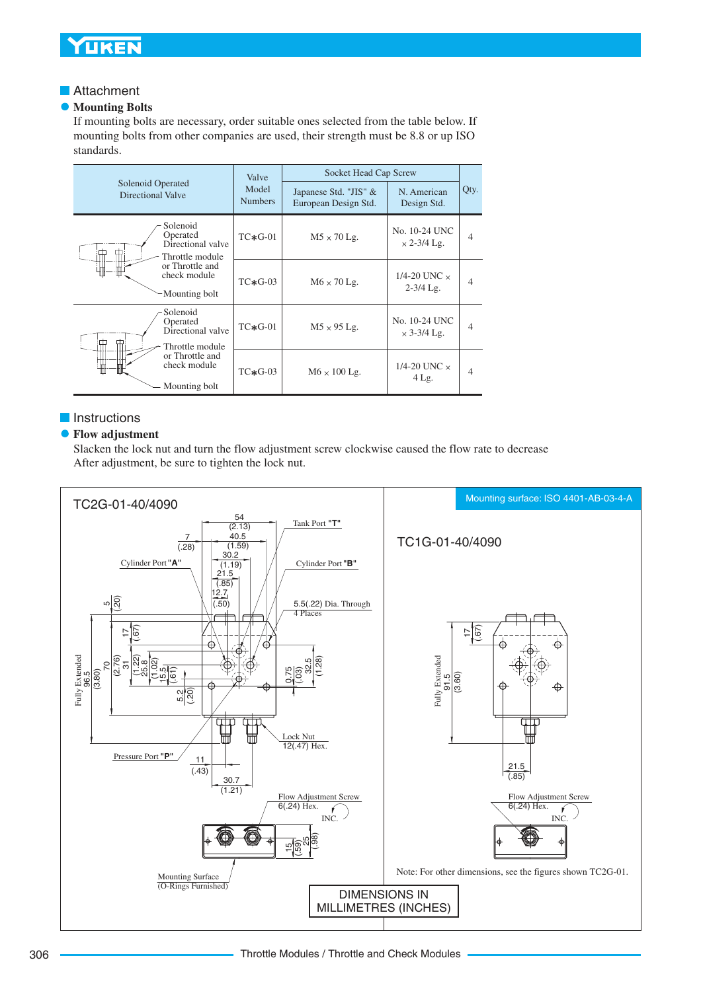# **YUKEN**

## **Attachment**

#### **Mounting Bolts**  $\bullet$

If mounting bolts are necessary, order suitable ones selected from the table below. If mounting bolts from other companies are used, their strength must be 8.8 or up ISO standards.

|                                        |                                                              | Valve                   | Socket Head Cap Screw                         |                                      |                          |  |
|----------------------------------------|--------------------------------------------------------------|-------------------------|-----------------------------------------------|--------------------------------------|--------------------------|--|
| Solenoid Operated<br>Directional Valve |                                                              | Model<br><b>Numbers</b> | Japanese Std. "JIS" &<br>European Design Std. | N. American<br>Design Std.           | Qty.                     |  |
|                                        | Solenoid<br>Operated<br>Directional valve<br>Throttle module | $TC*G-01$               | $M5 \times 70$ Lg.                            | No. 10-24 UNC<br>$\times$ 2-3/4 Lg.  | $\overline{4}$           |  |
|                                        | or Throttle and<br>check module<br>Mounting bolt             | $TC*G-03$               | $M6 \times 70$ Lg.                            | 1/4-20 UNC $\times$<br>$2 - 3/4$ Lg. | 4                        |  |
|                                        | Solenoid<br>Operated<br>Directional valve<br>Throttle module | $TC*G-01$               | $M5 \times 95$ Lg.                            | No. 10-24 UNC<br>$\times$ 3-3/4 Lg.  | $\overline{4}$           |  |
|                                        | or Throttle and<br>check module<br>Mounting bolt             | $TC*G-03$               | $M6 \times 100$ Lg.                           | 1/4-20 UNC $\times$<br>$4$ Lg.       | $\overline{\mathcal{A}}$ |  |

## **Instructions**

### **Flow adjustment**

Slacken the lock nut and turn the flow adjustment screw clockwise caused the flow rate to decrease After adjustment, be sure to tighten the lock nut.

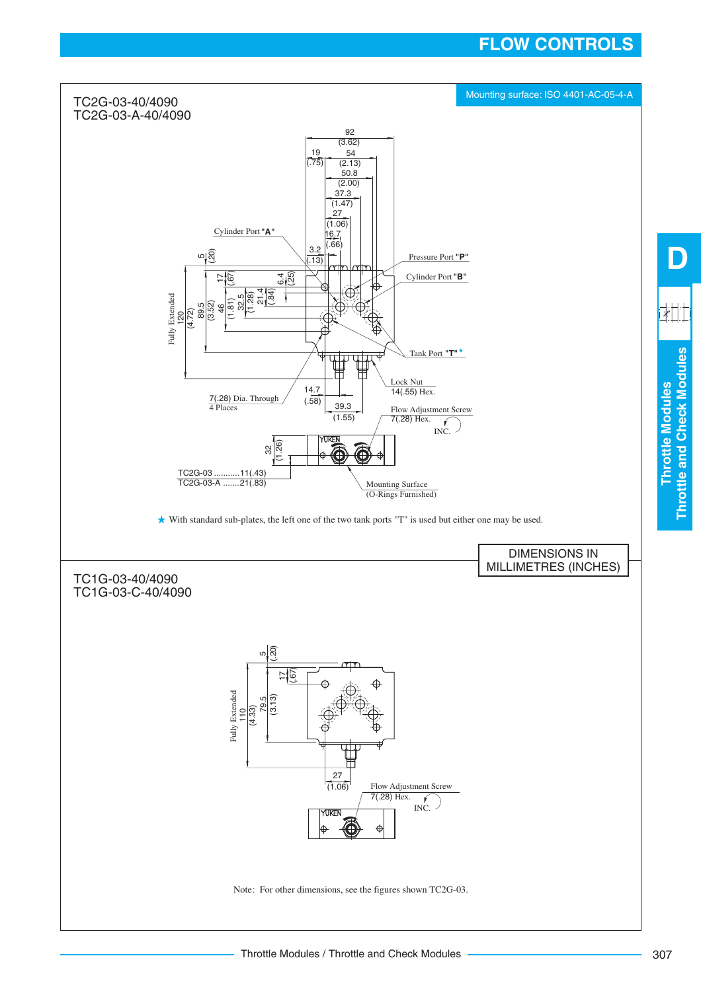# **FLOW CONTROLS**

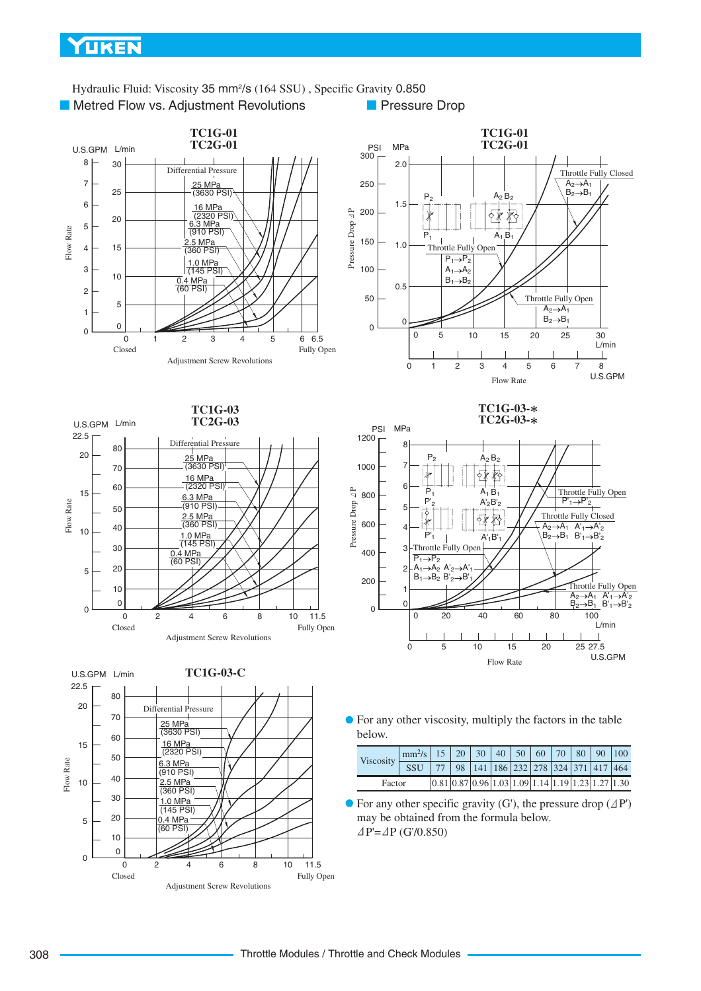## YUKEN

**Metred Flow vs. Adjustment Revolutions** Hydraulic Fluid: Viscosity 35 mm<sup>2</sup>/s (164 SSU), Specific Gravity 0.850 **Pressure Drop** 











For any other viscosity, multiply the factors in the table below.

|        | Viscosity | $\left \right  \text{mm}^{2}/\text{s}$   15   20   30   40   50   60   70   80   90   100 |  |  |  |                                                                                                                                |                                                         |
|--------|-----------|-------------------------------------------------------------------------------------------|--|--|--|--------------------------------------------------------------------------------------------------------------------------------|---------------------------------------------------------|
|        |           | <b>SSU</b>                                                                                |  |  |  |                                                                                                                                | 77   98   141   186   232   278   324   371   417   464 |
| Factor |           |                                                                                           |  |  |  | $\left  0.81 \right  0.87 \left  0.96 \right  1.03 \left  1.09 \right  1.14 \left  1.19 \right  1.23 \left  1.27 \right  1.30$ |                                                         |

 $\bullet$  For any other specific gravity (G'), the pressure drop ( $\Delta P'$ ) may be obtained from the formula below.  $\triangle P = \triangle P$  (G'/0.850)